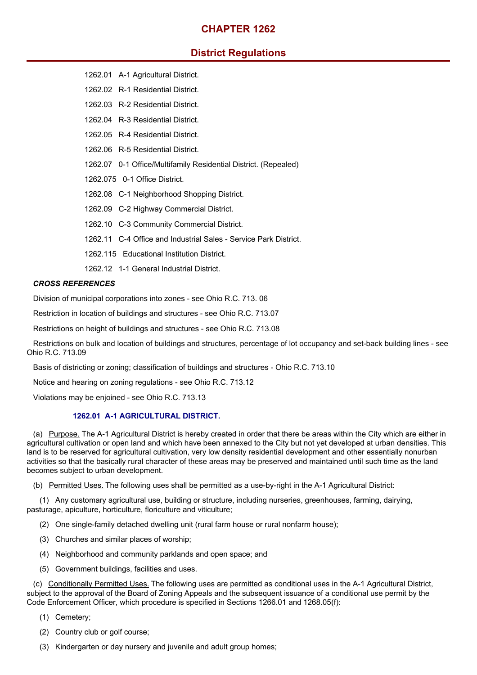## **CHAPTER 1262**

# **District Regulations**

- 1262.01 A-1 Agricultural District.
- 1262.02 R-1 Residential District.
- 1262.03 R-2 Residential District.
- 1262.04 R-3 Residential District.
- 1262.05 R-4 Residential District.
- 1262.06 R-5 Residential District.
- 1262.07 0-1 Office/Multifamily Residential District. (Repealed)
- 1262.075 0-1 Office District.
- 1262.08 C-1 Neighborhood Shopping District.
- 1262.09 C-2 Highway Commercial District.
- 1262.10 C-3 Community Commercial District.
- 1262.11 C-4 Office and Industrial Sales Service Park District.
- 1262.115 Educational Institution District.
- 1262.12 1-1 General Industrial District.

#### *CROSS REFERENCES*

Division of municipal corporations into zones - see Ohio R.C. 713. 06

Restriction in location of buildings and structures - see Ohio R.C. 713.07

Restrictions on height of buildings and structures - see Ohio R.C. 713.08

Restrictions on bulk and location of buildings and structures, percentage of lot occupancy and set-back building lines - see Ohio R.C. 713.09

Basis of districting or zoning; classification of buildings and structures - Ohio R.C. 713.10

Notice and hearing on zoning regulations - see Ohio R.C. 713.12

Violations may be enjoined - see Ohio R.C. 713.13

## **1262.01 A-1 AGRICULTURAL DISTRICT.**

(a) Purpose. The A-1 Agricultural District is hereby created in order that there be areas within the City which are either in agricultural cultivation or open land and which have been annexed to the City but not yet developed at urban densities. This land is to be reserved for agricultural cultivation, very low density residential development and other essentially nonurban activities so that the basically rural character of these areas may be preserved and maintained until such time as the land becomes subject to urban development.

(b) Permitted Uses. The following uses shall be permitted as a use-by-right in the A-1 Agricultural District:

(1) Any customary agricultural use, building or structure, including nurseries, greenhouses, farming, dairying, pasturage, apiculture, horticulture, floriculture and viticulture;

- (2) One single-family detached dwelling unit (rural farm house or rural nonfarm house);
- (3) Churches and similar places of worship;
- (4) Neighborhood and community parklands and open space; and
- (5) Government buildings, facilities and uses.

(c) Conditionally Permitted Uses. The following uses are permitted as conditional uses in the A-1 Agricultural District, subject to the approval of the Board of Zoning Appeals and the subsequent issuance of a conditional use permit by the Code Enforcement Officer, which procedure is specified in Sections 1266.01 and 1268.05(f):

- (1) Cemetery;
- (2) Country club or golf course;
- (3) Kindergarten or day nursery and juvenile and adult group homes;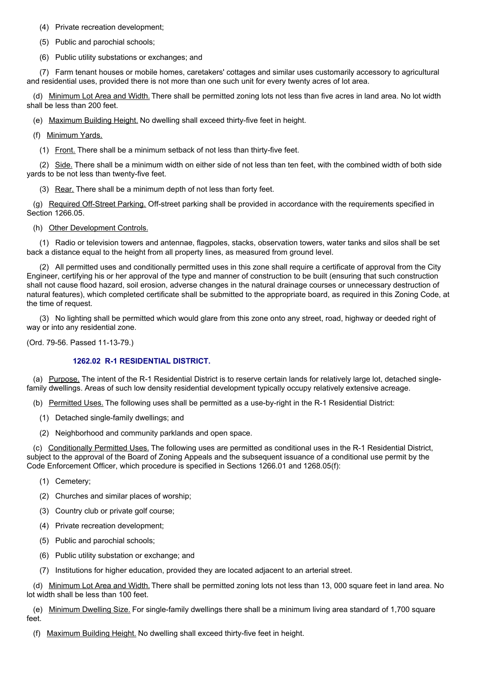(4) Private recreation development;

(5) Public and parochial schools;

(6) Public utility substations or exchanges; and

(7) Farm tenant houses or mobile homes, caretakers' cottages and similar uses customarily accessory to agricultural and residential uses, provided there is not more than one such unit for every twenty acres of lot area.

(d) Minimum Lot Area and Width. There shall be permitted zoning lots not less than five acres in land area. No lot width shall be less than 200 feet.

(e) Maximum Building Height. No dwelling shall exceed thirty-five feet in height.

(f) Minimum Yards.

(1) Front. There shall be a minimum setback of not less than thirty-five feet.

(2) Side. There shall be a minimum width on either side of not less than ten feet, with the combined width of both side yards to be not less than twenty-five feet.

(3) Rear. There shall be a minimum depth of not less than forty feet.

(g) Required Off-Street Parking. Off-street parking shall be provided in accordance with the requirements specified in Section 1266.05.

(h) Other Development Controls.

(1) Radio or television towers and antennae, flagpoles, stacks, observation towers, water tanks and silos shall be set back a distance equal to the height from all property lines, as measured from ground level.

(2) All permitted uses and conditionally permitted uses in this zone shall require a certificate of approval from the City Engineer, certifying his or her approval of the type and manner of construction to be built (ensuring that such construction shall not cause flood hazard, soil erosion, adverse changes in the natural drainage courses or unnecessary destruction of natural features), which completed certificate shall be submitted to the appropriate board, as required in this Zoning Code, at the time of request.

(3) No lighting shall be permitted which would glare from this zone onto any street, road, highway or deeded right of way or into any residential zone.

(Ord. 79-56. Passed 11-13-79.)

#### **1262.02 R-1 RESIDENTIAL DISTRICT.**

(a) Purpose. The intent of the R-1 Residential District is to reserve certain lands for relatively large lot, detached singlefamily dwellings. Areas of such low density residential development typically occupy relatively extensive acreage.

(b) Permitted Uses. The following uses shall be permitted as a use-by-right in the R-1 Residential District:

- (1) Detached single-family dwellings; and
- (2) Neighborhood and community parklands and open space.

(c) Conditionally Permitted Uses. The following uses are permitted as conditional uses in the R-1 Residential District, subject to the approval of the Board of Zoning Appeals and the subsequent issuance of a conditional use permit by the Code Enforcement Officer, which procedure is specified in Sections 1266.01 and 1268.05(f):

- (1) Cemetery;
- (2) Churches and similar places of worship;
- (3) Country club or private golf course;
- (4) Private recreation development;
- (5) Public and parochial schools;
- (6) Public utility substation or exchange; and
- (7) Institutions for higher education, provided they are located adjacent to an arterial street.

(d) Minimum Lot Area and Width. There shall be permitted zoning lots not less than 13, 000 square feet in land area. No lot width shall be less than 100 feet.

(e) Minimum Dwelling Size. For single-family dwellings there shall be a minimum living area standard of 1,700 square feet.

(f) Maximum Building Height. No dwelling shall exceed thirty-five feet in height.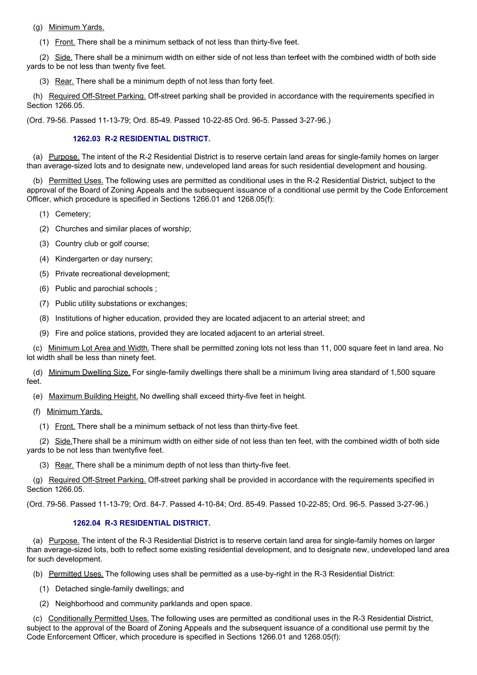(g) Minimum Yards.

(1) Front. There shall be a minimum setback of not less than thirty-five feet.

(2) Side. There shall be a minimum width on either side of not less than terfeet with the combined width of both side yards to be not less than twenty five feet.

(3) Rear. There shall be a minimum depth of not less than forty feet.

(h) Required Off-Street Parking. Off-street parking shall be provided in accordance with the requirements specified in Section 1266.05.

(Ord. 79-56. Passed 11-13-79; Ord. 85-49. Passed 10-22-85 Ord. 96-5. Passed 3-27-96.)

#### **1262.03 R-2 RESIDENTIAL DISTRICT.**

(a) Purpose. The intent of the R-2 Residential District is to reserve certain land areas for single-family homes on larger than average-sized lots and to designate new, undeveloped land areas for such residential development and housing.

(b) Permitted Uses. The following uses are permitted as conditional uses in the R-2 Residential District, subiect to the approval of the Board of Zoning Appeals and the subsequent issuance of a conditional use permit by the Code Enforcement Officer, which procedure is specified in Sections 1266.01 and 1268.05(f):

(1) Cemetery;

- (2) Churches and similar places of worship;
- (3) Country club or golf course;
- (4) Kindergarten or day nursery;
- (5) Private recreational development;
- (6) Public and parochial schools ;
- (7) Public utility substations or exchanges;
- (8) Institutions of higher education, provided they are located adjacent to an arterial street; and
- (9) Fire and police stations, provided they are located adjacent to an arterial street.

(c) Minimum Lot Area and Width. There shall be permitted zoning lots not less than 11, 000 square feet in land area. No lot width shall be less than ninety feet.

(d) Minimum Dwelling Size. For single-family dwellings there shall be a minimum living area standard of 1,500 square feet.

- (e) Maximum Building Height. No dwelling shall exceed thirty-five feet in height.
- (f) Minimum Yards.
	- (1) Front. There shall be a minimum setback of not less than thirty-five feet.

(2) Side.There shall be a minimum width on either side of not less than ten feet, with the combined width of both side yards to be not less than twentyfive feet.

(3) Rear. There shall be a minimum depth of not less than thirty-five feet.

(g) Required Off-Street Parking. Off-street parking shall be provided in accordance with the requirements specified in Section 1266.05.

(Ord. 79-56. Passed 11-13-79; Ord. 84-7. Passed 4-10-84; Ord. 85-49. Passed 10-22-85; Ord. 96-5. Passed 3-27-96.)

## **1262.04 R-3 RESIDENTIAL DISTRICT.**

(a) Purpose. The intent of the R-3 Residential District is to reserve certain land area for single-family homes on larger than average-sized lots, both to reflect some existing residential development, and to designate new, undeveloped land area for such development.

- (b) Permitted Uses. The following uses shall be permitted as a use-by-right in the R-3 Residential District:
	- (1) Detached single-family dwellings; and
	- (2) Neighborhood and community parklands and open space.

(c) Conditionally Permitted Uses. The following uses are permitted as conditional uses in the R-3 Residential District, subject to the approval of the Board of Zoning Appeals and the subsequent issuance of a conditional use permit by the Code Enforcement Officer, which procedure is specified in Sections 1266.01 and 1268.05(f):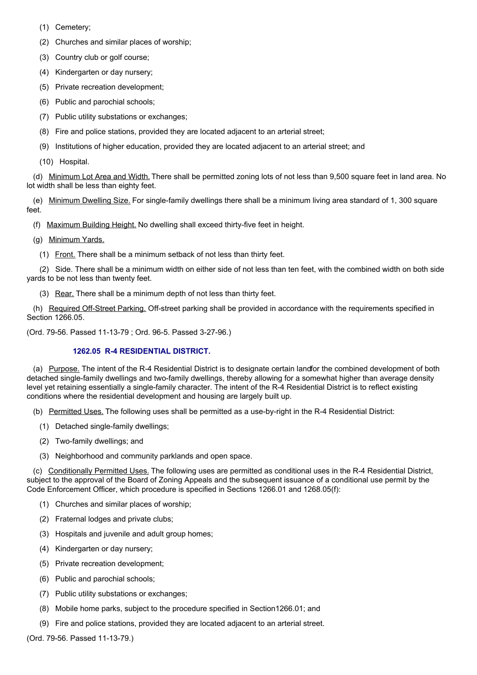- (1) Cemetery;
- (2) Churches and similar places of worship;
- (3) Country club or golf course;
- (4) Kindergarten or day nursery;
- (5) Private recreation development;
- (6) Public and parochial schools;
- (7) Public utility substations or exchanges;
- (8) Fire and police stations, provided they are located adjacent to an arterial street;
- (9) Institutions of higher education, provided they are located adjacent to an arterial street; and
- (10) Hospital.

(d) Minimum Lot Area and Width. There shall be permitted zoning lots of not less than 9,500 square feet in land area. No lot width shall be less than eighty feet.

(e) Minimum Dwelling Size. For single-family dwellings there shall be a minimum living area standard of 1, 300 square feet.

(f) Maximum Building Height. No dwelling shall exceed thirty-five feet in height.

- (g) Minimum Yards.
	- (1) Front. There shall be a minimum setback of not less than thirty feet.

(2) Side. There shall be a minimum width on either side of not less than ten feet, with the combined width on both side yards to be not less than twenty feet.

(3) Rear. There shall be a minimum depth of not less than thirty feet.

(h) Required Off-Street Parking. Off-street parking shall be provided in accordance with the requirements specified in Section 1266.05.

(Ord. 79-56. Passed 11-13-79 ; Ord. 96-5. Passed 3-27-96.)

## **1262.05 R-4 RESIDENTIAL DISTRICT.**

(a) Purpose. The intent of the R-4 Residential District is to designate certain landfor the combined development of both detached single-family dwellings and two-family dwellings, thereby allowing for a somewhat higher than average density level yet retaining essentially a single-family character. The intent of the R-4 Residential District is to reflect existing conditions where the residential development and housing are largely built up.

(b) Permitted Uses. The following uses shall be permitted as a use-by-right in the R-4 Residential District:

- (1) Detached single-family dwellings;
- (2) Two-family dwellings; and
- (3) Neighborhood and community parklands and open space.

(c) Conditionally Permitted Uses. The following uses are permitted as conditional uses in the R-4 Residential District, subject to the approval of the Board of Zoning Appeals and the subsequent issuance of a conditional use permit by the Code Enforcement Officer, which procedure is specified in Sections 1266.01 and 1268.05(f):

- (1) Churches and similar places of worship;
- (2) Fraternal lodges and private clubs;
- (3) Hospitals and juvenile and adult group homes;
- (4) Kindergarten or day nursery;
- (5) Private recreation development;
- (6) Public and parochial schools;
- (7) Public utility substations or exchanges;
- (8) Mobile home parks, subject to the procedure specified in Section1266.01; and
- (9) Fire and police stations, provided they are located adjacent to an arterial street.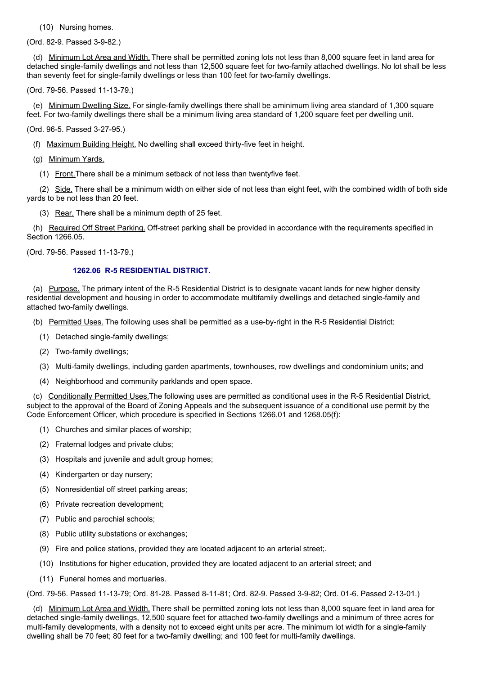(10) Nursing homes.

(Ord. 82-9. Passed 3-9-82.)

(d) Minimum Lot Area and Width. There shall be permitted zoning lots not less than 8,000 square feet in land area for detached single-family dwellings and not less than 12,500 square feet for two-family attached dwellings. No lot shall be less than seventy feet for single-family dwellings or less than 100 feet for two-family dwellings.

(Ord. 79-56. Passed 11-13-79.)

(e) Minimum Dwelling Size. For single-family dwellings there shall be aminimum living area standard of 1,300 square feet. For two-family dwellings there shall be a minimum living area standard of 1,200 square feet per dwelling unit.

(Ord. 96-5. Passed 3-27-95.)

(f) Maximum Building Height. No dwelling shall exceed thirty-five feet in height.

(g) Minimum Yards.

(1) Front.There shall be a minimum setback of not less than twentyfive feet.

(2) Side. There shall be a minimum width on either side of not less than eight feet, with the combined width of both side yards to be not less than 20 feet.

(3) Rear. There shall be a minimum depth of 25 feet.

(h) Required Off Street Parking. Off-street parking shall be provided in accordance with the requirements specified in Section 1266.05.

(Ord. 79-56. Passed 11-13-79.)

#### **1262.06 R-5 RESIDENTIAL DISTRICT.**

(a) Purpose. The primary intent of the R-5 Residential District is to designate vacant lands for new higher density residential development and housing in order to accommodate multifamily dwellings and detached single-family and attached two-family dwellings.

(b) Permitted Uses. The following uses shall be permitted as a use-by-right in the R-5 Residential District:

- (1) Detached single-family dwellings;
- (2) Two-family dwellings;
- (3) Multi-family dwellings, including garden apartments, townhouses, row dwellings and condominium units; and
- (4) Neighborhood and community parklands and open space.

(c) Conditionally Permitted Uses.The following uses are permitted as conditional uses in the R-5 Residential District, subject to the approval of the Board of Zoning Appeals and the subsequent issuance of a conditional use permit by the Code Enforcement Officer, which procedure is specified in Sections 1266.01 and 1268.05(f):

- (1) Churches and similar places of worship;
- (2) Fraternal lodges and private clubs;
- (3) Hospitals and juvenile and adult group homes;
- (4) Kindergarten or day nursery;
- (5) Nonresidential off street parking areas;
- (6) Private recreation development;
- (7) Public and parochial schools;
- (8) Public utility substations or exchanges;
- (9) Fire and police stations, provided they are located adjacent to an arterial street;.
- (10) Institutions for higher education, provided they are located adjacent to an arterial street; and
- (11) Funeral homes and mortuaries.

(Ord. 79-56. Passed 11-13-79; Ord. 81-28. Passed 8-11-81; Ord. 82-9. Passed 3-9-82; Ord. 01-6. Passed 2-13-01.)

(d) Minimum Lot Area and Width. There shall be permitted zoning lots not less than 8,000 square feet in land area for detached single-family dwellings, 12,500 square feet for attached two-family dwellings and a minimum of three acres for multi-family developments, with a density not to exceed eight units per acre. The minimum lot width for a single-family dwelling shall be 70 feet; 80 feet for a two-family dwelling; and 100 feet for multi-family dwellings.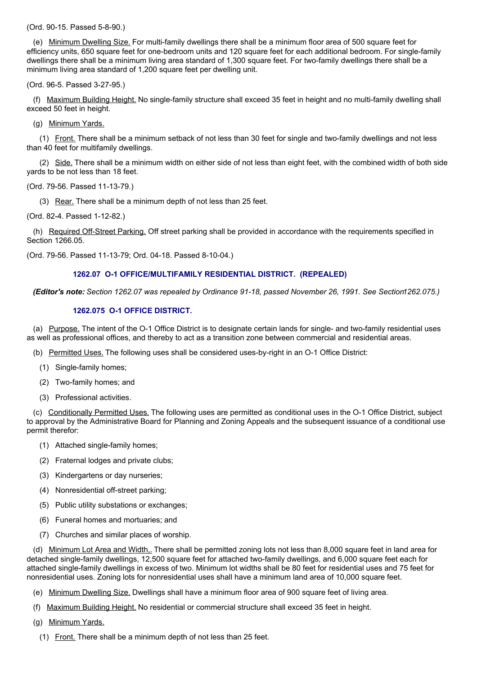(Ord. 90-15. Passed 5-8-90.)

(e) Minimum Dwelling Size. For multi-family dwellings there shall be a minimum floor area of 500 square feet for efficiency units, 650 square feet for one-bedroom units and 120 square feet for each additional bedroom. For single-family dwellings there shall be a minimum living area standard of 1,300 square feet. For two-family dwellings there shall be a minimum living area standard of 1,200 square feet per dwelling unit.

(Ord. 96-5. Passed 3-27-95.)

(f) Maximum Building Height. No single-family structure shall exceed 35 feet in height and no multi-family dwelling shall exceed 50 feet in height.

(g) Minimum Yards.

(1) Front. There shall be a minimum setback of not less than 30 feet for single and two-family dwellings and not less than 40 feet for multifamily dwellings.

(2) Side. There shall be a minimum width on either side of not less than eight feet, with the combined width of both side yards to be not less than 18 feet.

(Ord. 79-56. Passed 11-13-79.)

(3) Rear. There shall be a minimum depth of not less than 25 feet.

(Ord. 82-4. Passed 1-12-82.)

(h) Required Off-Street Parking. Off street parking shall be provided in accordance with the requirements specified in Section 1266.05.

(Ord. 79-56. Passed 11-13-79; Ord. 04-18. Passed 8-10-04.)

#### **1262.07 O-1 OFFICE/MULTIFAMILY RESIDENTIAL DISTRICT. (REPEALED)**

*(Editor's note: Section 1262.07 was repealed by Ordinance 91-18, passed November 26, 1991. See Section1262.075.)*

#### **1262.075 O-1 OFFICE DISTRICT.**

(a) Purpose. The intent of the O-1 Office District is to designate certain lands for single- and two-family residential uses as well as professional offices, and thereby to act as a transition zone between commercial and residential areas.

- (b) Permitted Uses. The following uses shall be considered uses-by-right in an O-1 Office District:
	- (1) Single-family homes;
	- (2) Two-family homes; and
	- (3) Professional activities.

(c) Conditionally Permitted Uses. The following uses are permitted as conditional uses in the O-1 Office District, subject to approval by the Administrative Board for Planning and Zoning Appeals and the subsequent issuance of a conditional use permit therefor:

- (1) Attached single-family homes;
- (2) Fraternal lodges and private clubs;
- (3) Kindergartens or day nurseries;
- (4) Nonresidential off-street parking;
- (5) Public utility substations or exchanges;
- (6) Funeral homes and mortuaries; and
- (7) Churches and similar places of worship.

(d) Minimum Lot Area and Width,. There shall be permitted zoning lots not less than 8,000 square feet in land area for detached single-family dwellings, 12,500 square feet for attached two-family dwellings, and 6,000 square feet each for attached single-family dwellings in excess of two. Minimum lot widths shall be 80 feet for residential uses and 75 feet for nonresidential uses. Zoning lots for nonresidential uses shall have a minimum land area of 10,000 square feet.

- (e) Minimum Dwelling Size. Dwellings shall have a minimum floor area of 900 square feet of living area.
- (f) Maximum Building Height. No residential or commercial structure shall exceed 35 feet in height.
- (g) Minimum Yards.
	- (1) Front. There shall be a minimum depth of not less than 25 feet.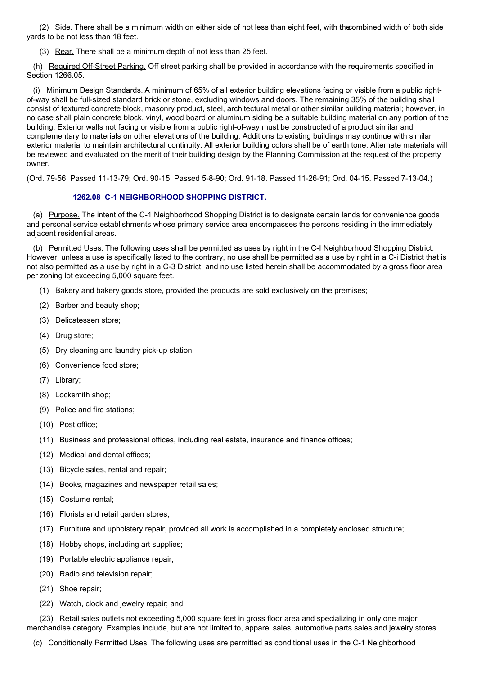(2) Side. There shall be a minimum width on either side of not less than eight feet, with thecombined width of both side yards to be not less than 18 feet.

(3) Rear. There shall be a minimum depth of not less than 25 feet.

(h) Required Off-Street Parking. Off street parking shall be provided in accordance with the requirements specified in Section 1266.05.

(i) Minimum Design Standards. A minimum of 65% of all exterior building elevations facing or visible from a public rightof-way shall be full-sized standard brick or stone, excluding windows and doors. The remaining 35% of the building shall consist of textured concrete block, masonry product, steel, architectural metal or other similar building material; however, in no case shall plain concrete block, vinyl, wood board or aluminum siding be a suitable building material on any portion of the building. Exterior walls not facing or visible from a public right-of-way must be constructed of a product similar and complementary to materials on other elevations of the building. Additions to existing buildings may continue with similar exterior material to maintain architectural continuity. All exterior building colors shall be of earth tone. Alternate materials will be reviewed and evaluated on the merit of their building design by the Planning Commission at the request of the property owner.

(Ord. 79-56. Passed 11-13-79; Ord. 90-15. Passed 5-8-90; Ord. 91-18. Passed 11-26-91; Ord. 04-15. Passed 7-13-04.)

## **1262.08 C-1 NEIGHBORHOOD SHOPPING DISTRICT.**

(a) Purpose. The intent of the C-1 Neighborhood Shopping District is to designate certain lands for convenience goods and personal service establishments whose primary service area encompasses the persons residing in the immediately adjacent residential areas.

(b) Permitted Uses. The following uses shall be permitted as uses by right in the C-I Neighborhood Shopping District. However, unless a use is specifically listed to the contrary, no use shall be permitted as a use by right in a C-i District that is not also permitted as a use by right in a C-3 District, and no use listed herein shall be accommodated by a gross floor area per zoning lot exceeding 5,000 square feet.

- (1) Bakery and bakery goods store, provided the products are sold exclusively on the premises;
- (2) Barber and beauty shop;
- (3) Delicatessen store;
- (4) Drug store;
- (5) Dry cleaning and laundry pick-up station;
- (6) Convenience food store;
- (7) Library;
- (8) Locksmith shop;
- (9) Police and fire stations;
- (10) Post office;
- (11) Business and professional offices, including real estate, insurance and finance offices;
- (12) Medical and dental offices;
- (13) Bicycle sales, rental and repair;
- (14) Books, magazines and newspaper retail sales;
- (15) Costume rental;
- (16) Florists and retail garden stores;
- (17) Furniture and upholstery repair, provided all work is accomplished in a completely enclosed structure;
- (18) Hobby shops, including art supplies;
- (19) Portable electric appliance repair;
- (20) Radio and television repair;
- (21) Shoe repair;
- (22) Watch, clock and jewelry repair; and

(23) Retail sales outlets not exceeding 5,000 square feet in gross floor area and specializing in only one major merchandise category. Examples include, but are not limited to, apparel sales, automotive parts sales and jewelry stores.

(c) Conditionally Permitted Uses. The following uses are permitted as conditional uses in the C-1 Neighborhood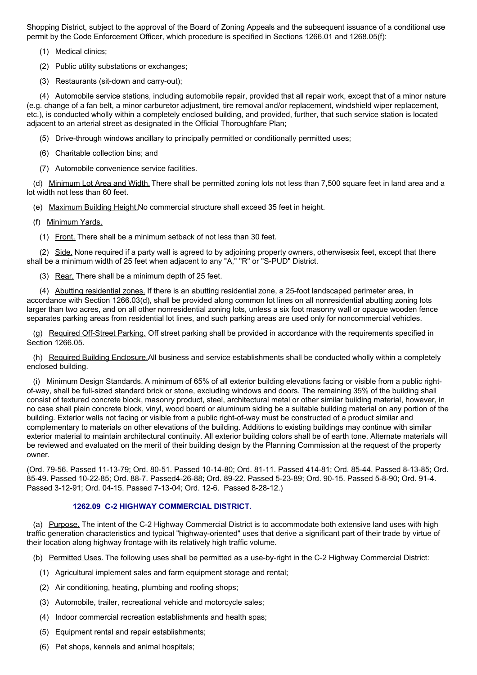Shopping District, subject to the approval of the Board of Zoning Appeals and the subsequent issuance of a conditional use permit by the Code Enforcement Officer, which procedure is specified in Sections 1266.01 and 1268.05(f):

(1) Medical clinics;

(2) Public utility substations or exchanges;

(3) Restaurants (sit-down and carry-out);

(4) Automobile service stations, including automobile repair, provided that all repair work, except that of a minor nature (e.g. change of a fan belt, a minor carburetor adjustment, tire removal and/or replacement, windshield wiper replacement, etc.), is conducted wholly within a completely enclosed building, and provided, further, that such service station is located adjacent to an arterial street as designated in the Official Thoroughfare Plan;

- (5) Drive-through windows ancillary to principally permitted or conditionally permitted uses;
- (6) Charitable collection bins; and
- (7) Automobile convenience service facilities.

(d) Minimum Lot Area and Width. There shall be permitted zoning lots not less than 7,500 square feet in land area and a lot width not less than 60 feet.

(e) Maximum Building Height.No commercial structure shall exceed 35 feet in height.

- (f) Minimum Yards.
	- (1) Front. There shall be a minimum setback of not less than 30 feet.

(2) Side. None required if a party wall is agreed to by adjoining property owners, otherwisesix feet, except that there shall be a minimum width of 25 feet when adjacent to any "A," "R" or "S-PUD" District.

(3) Rear. There shall be a minimum depth of 25 feet.

(4) Abutting residential zones. If there is an abutting residential zone, a 25-foot landscaped perimeter area, in accordance with Section 1266.03(d), shall be provided along common lot lines on all nonresidential abutting zoning lots larger than two acres, and on all other nonresidential zoning lots, unless a six foot masonry wall or opaque wooden fence separates parking areas from residential lot lines, and such parking areas are used only for noncommercial vehicles.

(g) Required Off-Street Parking. Off street parking shall be provided in accordance with the requirements specified in Section 1266.05.

(h) Required Building Enclosure.All business and service establishments shall be conducted wholly within a completely enclosed building.

(i) Minimum Design Standards. A minimum of 65% of all exterior building elevations facing or visible from a public rightof-way, shall be full-sized standard brick or stone, excluding windows and doors. The remaining 35% of the building shall consist of textured concrete block, masonry product, steel, architectural metal or other similar building material, however, in no case shall plain concrete block, vinyl, wood board or aluminum siding be a suitable building material on any portion of the building. Exterior walls not facing or visible from a public right-of-way must be constructed of a product similar and complementary to materials on other elevations of the building. Additions to existing buildings may continue with similar exterior material to maintain architectural continuity. All exterior building colors shall be of earth tone. Alternate materials will be reviewed and evaluated on the merit of their building design by the Planning Commission at the request of the property owner.

(Ord. 79-56. Passed 11-13-79; Ord. 80-51. Passed 10-14-80; Ord. 81-11. Passed 414-81; Ord. 85-44. Passed 8-13-85; Ord. 85-49. Passed 10-22-85; Ord. 88-7. Passed4-26-88; Ord. 89-22. Passed 5-23-89; Ord. 90-15. Passed 5-8-90; Ord. 91-4. Passed 3-12-91; Ord. 04-15. Passed 7-13-04; Ord. 12-6. Passed 8-28-12.)

## **1262.09 C-2 HIGHWAY COMMERCIAL DISTRICT.**

(a) Purpose. The intent of the C-2 Highway Commercial District is to accommodate both extensive land uses with high traffic generation characteristics and typical "highway-oriented" uses that derive a significant part of their trade by virtue of their location along highway frontage with its relatively high traffic volume.

- (b) Permitted Uses. The following uses shall be permitted as a use-by-right in the C-2 Highway Commercial District:
	- (1) Agricultural implement sales and farm equipment storage and rental;
	- (2) Air conditioning, heating, plumbing and roofing shops;
	- (3) Automobile, trailer, recreational vehicle and motorcycle sales;
	- (4) Indoor commercial recreation establishments and health spas;
	- (5) Equipment rental and repair establishments;
	- (6) Pet shops, kennels and animal hospitals;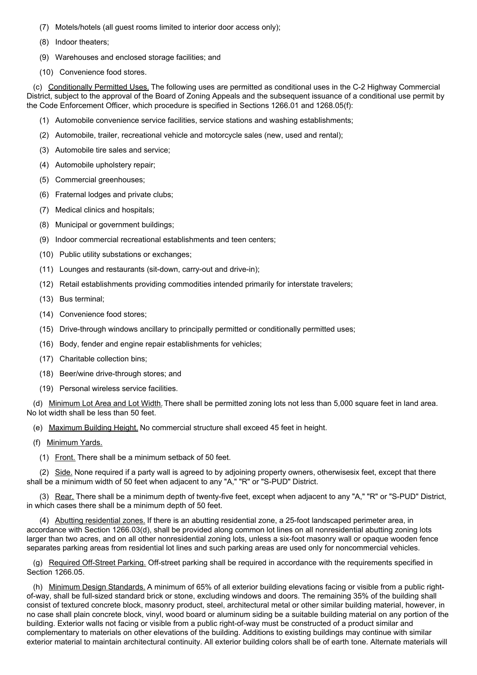- (7) Motels/hotels (all guest rooms limited to interior door access only);
- (8) Indoor theaters;
- (9) Warehouses and enclosed storage facilities; and
- (10) Convenience food stores.

(c) Conditionally Permitted Uses. The following uses are permitted as conditional uses in the C-2 Highway Commercial District, subject to the approval of the Board of Zoning Appeals and the subsequent issuance of a conditional use permit by the Code Enforcement Officer, which procedure is specified in Sections 1266.01 and 1268.05(f):

- (1) Automobile convenience service facilities, service stations and washing establishments;
- (2) Automobile, trailer, recreational vehicle and motorcycle sales (new, used and rental);
- (3) Automobile tire sales and service;
- (4) Automobile upholstery repair;
- (5) Commercial greenhouses;
- (6) Fraternal lodges and private clubs;
- (7) Medical clinics and hospitals;
- (8) Municipal or government buildings;
- (9) Indoor commercial recreational establishments and teen centers;
- (10) Public utility substations or exchanges;
- (11) Lounges and restaurants (sit-down, carry-out and drive-in);
- (12) Retail establishments providing commodities intended primarily for interstate travelers;
- (13) Bus terminal;
- (14) Convenience food stores;
- (15) Drive-through windows ancillary to principally permitted or conditionally permitted uses;
- (16) Body, fender and engine repair establishments for vehicles;
- (17) Charitable collection bins;
- (18) Beer/wine drive-through stores; and
- (19) Personal wireless service facilities.

(d) Minimum Lot Area and Lot Width. There shall be permitted zoning lots not less than 5,000 square feet in land area. No lot width shall be less than 50 feet.

(e) Maximum Building Height. No commercial structure shall exceed 45 feet in height.

- (f) Minimum Yards.
	- (1) Front. There shall be a minimum setback of 50 feet.

(2) Side. None required if a party wall is agreed to by adjoining property owners, otherwisesix feet, except that there shall be a minimum width of 50 feet when adjacent to any "A," "R" or "S-PUD" District.

(3) Rear. There shall be a minimum depth of twenty-five feet, except when adjacent to any "A," "R" or "S-PUD" District, in which cases there shall be a minimum depth of 50 feet.

(4) Abutting residential zones. If there is an abutting residential zone, a 25-foot landscaped perimeter area, in accordance with Section 1266.03(d), shall be provided along common lot lines on all nonresidential abutting zoning lots larger than two acres, and on all other nonresidential zoning lots, unless a six-foot masonry wall or opaque wooden fence separates parking areas from residential lot lines and such parking areas are used only for noncommercial vehicles.

(g) Required Off-Street Parking. Off-street parking shall be required in accordance with the requirements specified in Section 1266.05.

(h) Minimum Design Standards. A minimum of 65% of all exterior building elevations facing or visible from a public rightof-way, shall be full-sized standard brick or stone, excluding windows and doors. The remaining 35% of the building shall consist of textured concrete block, masonry product, steel, architectural metal or other similar building material, however, in no case shall plain concrete block, vinyl, wood board or aluminum siding be a suitable building material on any portion of the building. Exterior walls not facing or visible from a public right-of-way must be constructed of a product similar and complementary to materials on other elevations of the building. Additions to existing buildings may continue with similar exterior material to maintain architectural continuity. All exterior building colors shall be of earth tone. Alternate materials will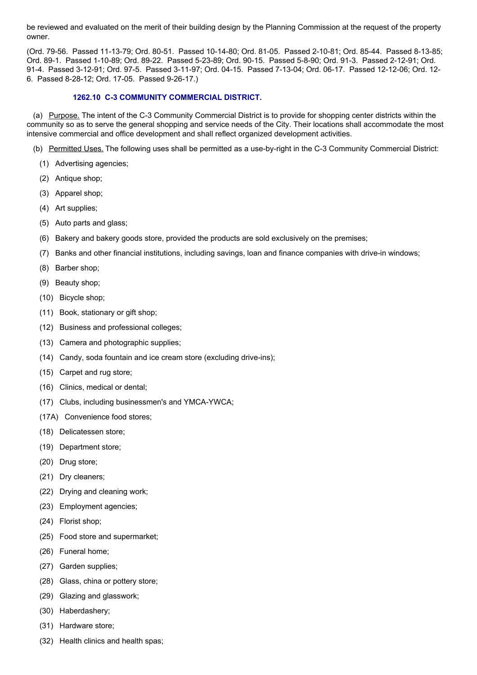be reviewed and evaluated on the merit of their building design by the Planning Commission at the request of the property owner.

(Ord. 79-56. Passed 11-13-79; Ord. 80-51. Passed 10-14-80; Ord. 81-05. Passed 2-10-81; Ord. 85-44. Passed 8-13-85; Ord. 89-1. Passed 1-10-89; Ord. 89-22. Passed 5-23-89; Ord. 90-15. Passed 5-8-90; Ord. 91-3. Passed 2-12-91; Ord. 91-4. Passed 3-12-91; Ord. 97-5. Passed 3-11-97; Ord. 04-15. Passed 7-13-04; Ord. 06-17. Passed 12-12-06; Ord. 12- 6. Passed 8-28-12; Ord. 17-05. Passed 9-26-17.)

#### **1262.10 C-3 COMMUNITY COMMERCIAL DISTRICT.**

(a) Purpose. The intent of the C-3 Community Commercial District is to provide for shopping center districts within the community so as to serve the general shopping and service needs of the City. Their locations shall accommodate the most intensive commercial and office development and shall reflect organized development activities.

- (b) Permitted Uses. The following uses shall be permitted as a use-by-right in the C-3 Community Commercial District:
	- (1) Advertising agencies;
	- (2) Antique shop;
	- (3) Apparel shop;
	- (4) Art supplies;
	- (5) Auto parts and glass;
	- (6) Bakery and bakery goods store, provided the products are sold exclusively on the premises;
	- (7) Banks and other financial institutions, including savings, loan and finance companies with drive-in windows;
	- (8) Barber shop;
	- (9) Beauty shop;
	- (10) Bicycle shop;
	- (11) Book, stationary or gift shop;
	- (12) Business and professional colleges;
	- (13) Camera and photographic supplies;
	- (14) Candy, soda fountain and ice cream store (excluding drive-ins);
	- (15) Carpet and rug store;
	- (16) Clinics, medical or dental;
	- (17) Clubs, including businessmen's and YMCA-YWCA;
	- (17A) Convenience food stores;
	- (18) Delicatessen store;
	- (19) Department store;
	- (20) Drug store;
	- (21) Dry cleaners;
	- (22) Drying and cleaning work;
	- (23) Employment agencies;
	- (24) Florist shop;
	- (25) Food store and supermarket;
	- (26) Funeral home;
	- (27) Garden supplies;
	- (28) Glass, china or pottery store;
	- (29) Glazing and glasswork;
	- (30) Haberdashery;
	- (31) Hardware store;
	- (32) Health clinics and health spas;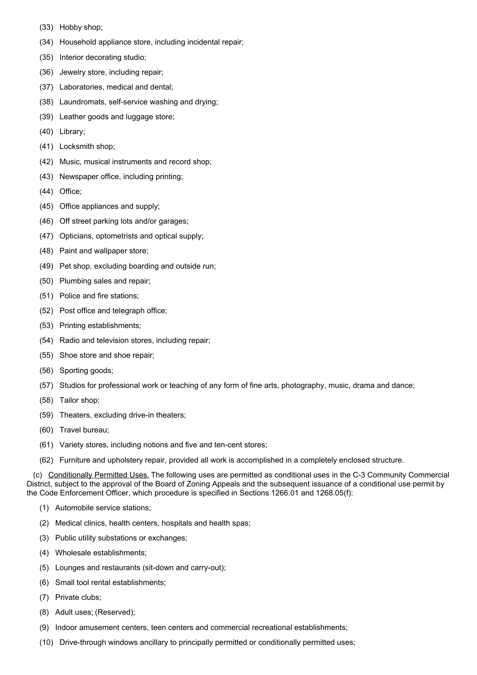- (33) Hobby shop;
- (34) Household appliance store, including incidental repair;
- (35) Interior decorating studio;
- (36) Jewelry store, including repair;
- (37) Laboratories, medical and dental;
- (38) Laundromats, self-service washing and drying;
- (39) Leather goods and luggage store;
- (40) Library;
- (41) Locksmith shop;
- (42) Music, musical instruments and record shop;
- (43) Newspaper office, including printing;
- (44) Office;
- (45) Office appliances and supply;
- (46) Off street parking lots and/or garages;
- (47) Opticians, optometrists and optical supply;
- (48) Paint and wallpaper store;
- (49) Pet shop, excluding boarding and outside run;
- (50) Plumbing sales and repair;
- (51) Police and fire stations;
- (52) Post office and telegraph office;
- (53) Printing establishments;
- (54) Radio and television stores, including repair;
- (55) Shoe store and shoe repair;
- (56) Sporting goods;
- (57) Studios for professional work or teaching of any form of fine arts, photography, music, drama and dance;
- (58) Tailor shop;
- (59) Theaters, excluding drive-in theaters;
- (60) Travel bureau;
- (61) Variety stores, including notions and five and ten-cent stores;
- (62) Furniture and upholstery repair, provided all work is accomplished in a completely enclosed structure.

(c) Conditionally Permitted Uses. The following uses are permitted as conditional uses in the C-3 Community Commercial District, subject to the approval of the Board of Zoning Appeals and the subsequent issuance of a conditional use permit by the Code Enforcement Officer, which procedure is specified in Sections 1266.01 and 1268.05(f):

- (1) Automobile service stations;
- (2) Medical clinics, health centers, hospitals and health spas;
- (3) Public utility substations or exchanges;
- (4) Wholesale establishments;
- (5) Lounges and restaurants (sit-down and carry-out);
- (6) Small tool rental establishments;
- (7) Private clubs;
- (8) Adult uses; (Reserved);
- (9) Indoor amusement centers, teen centers and commercial recreational establishments;
- (10) Drive-through windows ancillary to principally permitted or conditionally permitted uses;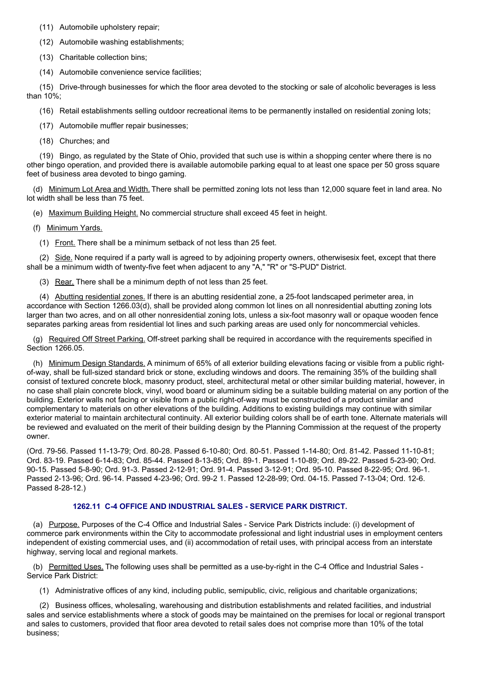(11) Automobile upholstery repair;

(12) Automobile washing establishments;

(13) Charitable collection bins;

(14) Automobile convenience service facilities;

(15) Drive-through businesses for which the floor area devoted to the stocking or sale of alcoholic beverages is less than 10%;

(16) Retail establishments selling outdoor recreational items to be permanently installed on residential zoning lots;

(17) Automobile muffler repair businesses;

(18) Churches; and

(19) Bingo, as regulated by the State of Ohio, provided that such use is within a shopping center where there is no other bingo operation, and provided there is available automobile parking equal to at least one space per 50 gross square feet of business area devoted to bingo gaming.

(d) Minimum Lot Area and Width. There shall be permitted zoning lots not less than 12,000 square feet in land area. No lot width shall be less than 75 feet.

(e) Maximum Building Height. No commercial structure shall exceed 45 feet in height.

(f) Minimum Yards.

(1) Front. There shall be a minimum setback of not less than 25 feet.

(2) Side. None required if a party wall is agreed to by adjoining property owners, otherwisesix feet, except that there shall be a minimum width of twenty-five feet when adjacent to any "A," "R" or "S-PUD" District.

(3) Rear. There shall be a minimum depth of not less than 25 feet.

(4) Abutting residential zones. If there is an abutting residential zone, a 25-foot landscaped perimeter area, in accordance with Section 1266.03(d), shall be provided along common lot lines on all nonresidential abutting zoning lots larger than two acres, and on all other nonresidential zoning lots, unless a six-foot masonry wall or opaque wooden fence separates parking areas from residential lot lines and such parking areas are used only for noncommercial vehicles.

(g) Required Off Street Parking. Off-street parking shall be required in accordance with the requirements specified in Section 1266.05.

(h) Minimum Design Standards. A minimum of 65% of all exterior building elevations facing or visible from a public rightof-way, shall be full-sized standard brick or stone, excluding windows and doors. The remaining 35% of the building shall consist of textured concrete block, masonry product, steel, architectural metal or other similar building material, however, in no case shall plain concrete block, vinyl, wood board or aluminum siding be a suitable building material on any portion of the building. Exterior walls not facing or visible from a public right-of-way must be constructed of a product similar and complementary to materials on other elevations of the building. Additions to existing buildings may continue with similar exterior material to maintain architectural continuity. All exterior building colors shall be of earth tone. Alternate materials will be reviewed and evaluated on the merit of their building design by the Planning Commission at the request of the property owner.

(Ord. 79-56. Passed 11-13-79; Ord. 80-28. Passed 6-10-80; Ord. 80-51. Passed 1-14-80; Ord. 81-42. Passed 11-10-81; Ord. 83-19. Passed 6-14-83; Ord. 85-44. Passed 8-13-85; Ord. 89-1. Passed 1-10-89; Ord. 89-22. Passed 5-23-90; Ord. 90-15. Passed 5-8-90; Ord. 91-3. Passed 2-12-91; Ord. 91-4. Passed 3-12-91; Ord. 95-10. Passed 8-22-95; Ord. 96-1. Passed 2-13-96; Ord. 96-14. Passed 4-23-96; Ord. 99-2 1. Passed 12-28-99; Ord. 04-15. Passed 7-13-04; Ord. 12-6. Passed 8-28-12.)

## **1262.11 C-4 OFFICE AND INDUSTRIAL SALES - SERVICE PARK DISTRICT.**

(a) Purpose. Purposes of the C-4 Office and Industrial Sales - Service Park Districts include: (i) development of commerce park environments within the City to accommodate professional and light industrial uses in employment centers independent of existing commercial uses, and (ii) accommodation of retail uses, with principal access from an interstate highway, serving local and regional markets.

(b) Permitted Uses. The following uses shall be permitted as a use-by-right in the C-4 Office and Industrial Sales - Service Park District:

(1) Administrative offices of any kind, including public, semipublic, civic, religious and charitable organizations;

(2) Business offices, wholesaling, warehousing and distribution establishments and related facilities, and industrial sales and service establishments where a stock of goods may be maintained on the premises for local or regional transport and sales to customers, provided that floor area devoted to retail sales does not comprise more than 10% of the total business;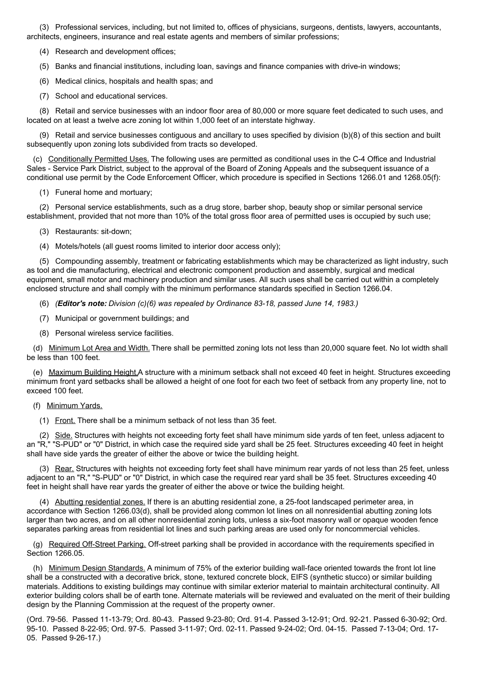(3) Professional services, including, but not limited to, offices of physicians, surgeons, dentists, lawyers, accountants, architects, engineers, insurance and real estate agents and members of similar professions;

(4) Research and development offices;

(5) Banks and financial institutions, including loan, savings and finance companies with drive-in windows;

(6) Medical clinics, hospitals and health spas; and

(7) School and educational services.

(8) Retail and service businesses with an indoor floor area of 80,000 or more square feet dedicated to such uses, and located on at least a twelve acre zoning lot within 1,000 feet of an interstate highway.

(9) Retail and service businesses contiguous and ancillary to uses specified by division (b)(8) of this section and built subsequently upon zoning lots subdivided from tracts so developed.

(c) Conditionally Permitted Uses. The following uses are permitted as conditional uses in the C-4 Office and Industrial Sales - Service Park District, subject to the approval of the Board of Zoning Appeals and the subsequent issuance of a conditional use permit by the Code Enforcement Officer, which procedure is specified in Sections 1266.01 and 1268.05(f):

(1) Funeral home and mortuary;

(2) Personal service establishments, such as a drug store, barber shop, beauty shop or similar personal service establishment, provided that not more than 10% of the total gross floor area of permitted uses is occupied by such use;

(3) Restaurants: sit-down;

(4) Motels/hotels (all guest rooms limited to interior door access only);

(5) Compounding assembly, treatment or fabricating establishments which may be characterized as light industry, such as tool and die manufacturing, electrical and electronic component production and assembly, surgical and medical equipment, small motor and machinery production and similar uses. All such uses shall be carried out within a completely enclosed structure and shall comply with the minimum performance standards specified in Section 1266.04.

(6) *(Editor's note: Division (c)(6) was repealed by Ordinance 83-18, passed June 14, 1983.)*

(7) Municipal or government buildings; and

(8) Personal wireless service facilities.

(d) Minimum Lot Area and Width. There shall be permitted zoning lots not less than 20,000 square feet. No lot width shall be less than 100 feet.

(e) Maximum Building Height.A structure with a minimum setback shall not exceed 40 feet in height. Structures exceeding minimum front yard setbacks shall be allowed a height of one foot for each two feet of setback from any property line, not to exceed 100 feet.

#### (f) Minimum Yards.

(1) Front. There shall be a minimum setback of not less than 35 feet.

(2) Side. Structures with heights not exceeding forty feet shall have minimum side yards of ten feet, unless adjacent to an "R," "S-PUD" or "0" District, in which case the required side yard shall be 25 feet. Structures exceeding 40 feet in height shall have side yards the greater of either the above or twice the building height.

(3) Rear. Structures with heights not exceeding forty feet shall have minimum rear yards of not less than 25 feet, unless adjacent to an "R," "S-PUD" or "0" District, in which case the required rear yard shall be 35 feet. Structures exceeding 40 feet in height shall have rear yards the greater of either the above or twice the building height.

(4) Abutting residential zones. If there is an abutting residential zone, a 25-foot landscaped perimeter area, in accordance with Section 1266.03(d), shall be provided along common lot lines on all nonresidential abutting zoning lots larger than two acres, and on all other nonresidential zoning lots, unless a six-foot masonry wall or opaque wooden fence separates parking areas from residential lot lines and such parking areas are used only for noncommercial vehicles.

(g) Required Off-Street Parking. Off-street parking shall be provided in accordance with the requirements specified in Section 1266.05.

(h) Minimum Design Standards. A minimum of 75% of the exterior building wall-face oriented towards the front lot line shall be a constructed with a decorative brick, stone, textured concrete block, EIFS (synthetic stucco) or similar building materials. Additions to existing buildings may continue with similar exterior material to maintain architectural continuity. All exterior building colors shall be of earth tone. Alternate materials will be reviewed and evaluated on the merit of their building design by the Planning Commission at the request of the property owner.

(Ord. 79-56. Passed 11-13-79; Ord. 80-43. Passed 9-23-80; Ord. 91-4. Passed 3-12-91; Ord. 92-21. Passed 6-30-92; Ord. 95-10. Passed 8-22-95; Ord. 97-5. Passed 3-11-97; Ord. 02-11. Passed 9-24-02; Ord. 04-15. Passed 7-13-04; Ord. 17- 05. Passed 9-26-17.)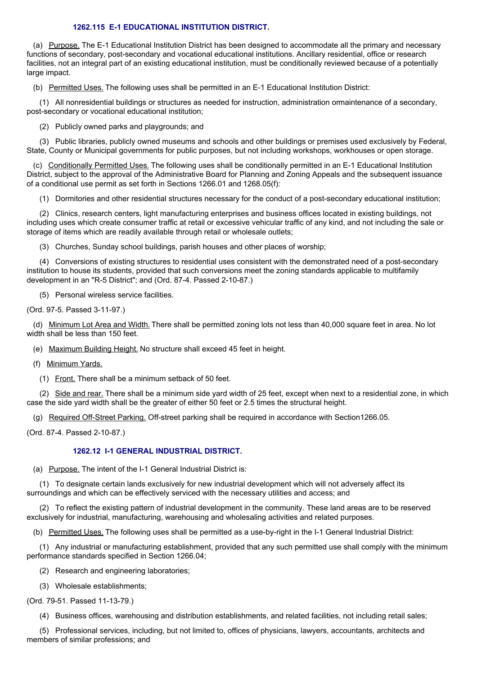#### **1262.115 E-1 EDUCATIONAL INSTITUTION DISTRICT.**

(a) Purpose. The E-1 Educational Institution District has been designed to accommodate all the primary and necessary functions of secondary, post-secondary and vocational educational institutions. Ancillary residential, office or research facilities, not an integral part of an existing educational institution, must be conditionally reviewed because of a potentially large impact.

(b) Permitted Uses. The following uses shall be permitted in an E-1 Educational Institution District:

(1) All nonresidential buildings or structures as needed for instruction, administration ormaintenance of a secondary, post-secondary or vocational educational institution;

(2) Publicly owned parks and playgrounds; and

(3) Public libraries, publicly owned museums and schools and other buildings or premises used exclusively by Federal, State, County or Municipal governments for public purposes, but not including workshops, workhouses or open storage.

(c) Conditionally Permitted Uses. The following uses shall be conditionally permitted in an E-1 Educational Institution District, subject to the approval of the Administrative Board for Planning and Zoning Appeals and the subsequent issuance of a conditional use permit as set forth in Sections 1266.01 and 1268.05(f):

(1) Dormitories and other residential structures necessary for the conduct of a post-secondary educational institution;

(2) Clinics, research centers, light manufacturing enterprises and business offices located in existing buildings, not including uses which create consumer traffic at retail or excessive vehicular traffic of any kind, and not including the sale or storage of items which are readily available through retail or wholesale outlets;

(3) Churches, Sunday school buildings, parish houses and other places of worship;

(4) Conversions of existing structures to residential uses consistent with the demonstrated need of a post-secondary institution to house its students, provided that such conversions meet the zoning standards applicable to multifamily development in an "R-5 District"; and (Ord. 87-4. Passed 2-10-87.)

(5) Personal wireless service facilities.

(Ord. 97-5. Passed 3-11-97.)

(d) Minimum Lot Area and Width. There shall be permitted zoning lots not less than 40,000 square feet in area. No lot width shall be less than 150 feet.

(e) Maximum Building Height. No structure shall exceed 45 feet in height.

(f) Minimum Yards.

(1) Front. There shall be a minimum setback of 50 feet.

(2) Side and rear. There shall be a minimum side yard width of 25 feet, except when next to a residential zone, in which case the side yard width shall be the greater of either 50 feet or 2.5 times the structural height.

(g) Required Off-Street Parking. Off-street parking shall be required in accordance with Section1266.05.

(Ord. 87-4. Passed 2-10-87.)

## **1262.12 I-1 GENERAL INDUSTRIAL DISTRICT.**

(a) Purpose. The intent of the I-1 General Industrial District is:

(1) To designate certain lands exclusively for new industrial development which will not adversely affect its surroundings and which can be effectively serviced with the necessary utilities and access; and

(2) To reflect the existing pattern of industrial development in the community. These land areas are to be reserved exclusively for industrial, manufacturing, warehousing and wholesaling activities and related purposes.

(b) Permitted Uses. The following uses shall be permitted as a use-by-right in the I-1 General Industrial District:

(1) Any industrial or manufacturing establishment, provided that any such permitted use shall comply with the minimum performance standards specified in Section 1266.04;

(2) Research and engineering laboratories;

(3) Wholesale establishments;

(Ord. 79-51. Passed 11-13-79.)

(4) Business offices, warehousing and distribution establishments, and related facilities, not including retail sales;

(5) Professional services, including, but not limited to, offices of physicians, lawyers, accountants, architects and members of similar professions; and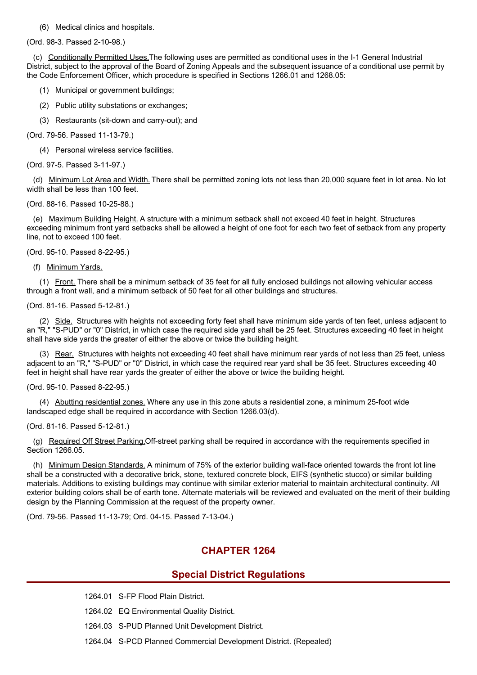#### (6) Medical clinics and hospitals.

(Ord. 98-3. Passed 2-10-98.)

(c) Conditionally Permitted Uses.The following uses are permitted as conditional uses in the I-1 General Industrial District, subject to the approval of the Board of Zoning Appeals and the subsequent issuance of a conditional use permit by the Code Enforcement Officer, which procedure is specified in Sections 1266.01 and 1268.05:

- (1) Municipal or government buildings;
- (2) Public utility substations or exchanges;
- (3) Restaurants (sit-down and carry-out); and

(Ord. 79-56. Passed 11-13-79.)

(4) Personal wireless service facilities.

(Ord. 97-5. Passed 3-11-97.)

(d) Minimum Lot Area and Width. There shall be permitted zoning lots not less than 20,000 square feet in lot area. No lot width shall be less than 100 feet.

(Ord. 88-16. Passed 10-25-88.)

(e) Maximum Building Height. A structure with a minimum setback shall not exceed 40 feet in height. Structures exceeding minimum front yard setbacks shall be allowed a height of one foot for each two feet of setback from any property line, not to exceed 100 feet.

(Ord. 95-10. Passed 8-22-95.)

(f) Minimum Yards.

(1) Front. There shall be a minimum setback of 35 feet for all fully enclosed buildings not allowing vehicular access through a front wall, and a minimum setback of 50 feet for all other buildings and structures.

(Ord. 81-16. Passed 5-12-81.)

(2) Side. Structures with heights not exceeding forty feet shall have minimum side yards of ten feet, unless adjacent to an "R," "S-PUD" or "0" District, in which case the required side yard shall be 25 feet. Structures exceeding 40 feet in height shall have side yards the greater of either the above or twice the building height.

(3) Rear. Structures with heights not exceeding 40 feet shall have minimum rear yards of not less than 25 feet, unless adjacent to an "R," "S-PUD" or "0" District, in which case the required rear yard shall be 35 feet. Structures exceeding 40 feet in height shall have rear yards the greater of either the above or twice the building height.

(Ord. 95-10. Passed 8-22-95.)

(4) Abutting residential zones. Where any use in this zone abuts a residential zone, a minimum 25-foot wide landscaped edge shall be required in accordance with Section 1266.03(d).

(Ord. 81-16. Passed 5-12-81.)

(g) Required Off Street Parking.Off-street parking shall be required in accordance with the requirements specified in Section 1266.05.

(h) Minimum Design Standards. A minimum of 75% of the exterior building wall-face oriented towards the front lot line shall be a constructed with a decorative brick, stone, textured concrete block, EIFS (synthetic stucco) or similar building materials. Additions to existing buildings may continue with similar exterior material to maintain architectural continuity. All exterior building colors shall be of earth tone. Alternate materials will be reviewed and evaluated on the merit of their building design by the Planning Commission at the request of the property owner.

(Ord. 79-56. Passed 11-13-79; Ord. 04-15. Passed 7-13-04.)

# **CHAPTER 1264**

## **Special District Regulations**

- 1264.01 S-FP Flood Plain District.
- 1264.02 EQ Environmental Quality District.
- 1264.03 S-PUD Planned Unit Development District.
- 1264.04 S-PCD Planned Commercial Development District. (Repealed)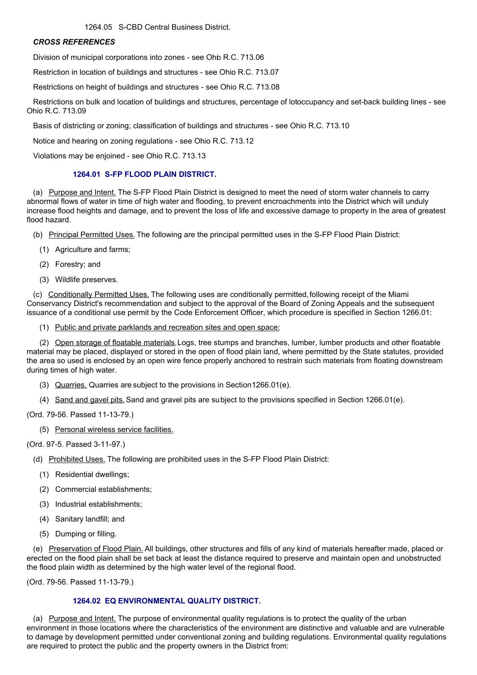1264.05 S-CBD Central Business District.

#### *CROSS REFERENCES*

Division of municipal corporations into zones - see Ohio R.C. 713.06

Restriction in location of buildings and structures - see Ohio R.C. 713.07

Restrictions on height of buildings and structures - see Ohio R.C. 713.08

Restrictions on bulk and location of buildings and structures, percentage of lotoccupancy and set-back building lines - see Ohio R.C. 713.09

Basis of districting or zoning; classification of buildings and structures - see Ohio R.C. 713.10

Notice and hearing on zoning regulations - see Ohio R.C. 713.12

Violations may be enjoined - see Ohio R.C. 713.13

## **1264.01 S-FP FLOOD PLAIN DISTRICT.**

(a) Purpose and Intent. The S-FP Flood Plain District is designed to meet the need of storm water channels to carry abnormal flows of water in time of high water and flooding, to prevent encroachments into the District which will unduly increase flood heights and damage, and to prevent the loss of life and excessive damage to property in the area of greatest flood hazard.

- (b) Principal Permitted Uses. The following are the principal permitted uses in the S-FP Flood Plain District:
	- (1) Agriculture and farms;
	- (2) Forestry; and
	- (3) Wildlife preserves.

(c) Conditionally Permitted Uses. The following uses are conditionally permitted,following receipt of the Miami Conservancy District's recommendation and subject to the approval of the Board of Zoning Appeals and the subsequent issuance of a conditional use permit by the Code Enforcement Officer, which procedure is specified in Section 1266.01:

(1) Public and private parklands and recreation sites and open space;

(2) Open storage of floatable materials.Logs, tree stumps and branches, lumber, lumber products and other floatable material may be placed, displayed or stored in the open of flood plain land, where permitted by the State statutes, provided the area so used is enclosed by an open wire fence properly anchored to restrain such materials from floating downstream during times of high water.

- (3) Quarries. Quarries are subject to the provisions in Section1266.01(e).
- (4) Sand and gavel pits.Sand and gravel pits are subject to the provisions specified in Section 1266.01(e).

(Ord. 79-56. Passed 11-13-79.)

(5) Personal wireless service facilities.

(Ord. 97-5. Passed 3-11-97.)

- (d) Prohibited Uses. The following are prohibited uses in the S-FP Flood Plain District:
	- (1) Residential dwellings;
	- (2) Commercial establishments;
	- (3) Industrial establishments;
	- (4) Sanitary landfill; and
	- (5) Dumping or filling.

(e) Preservation of Flood Plain. All buildings, other structures and fills of any kind of materials hereafter made, placed or erected on the flood plain shall be set back at least the distance required to preserve and maintain open and unobstructed the flood plain width as determined by the high water level of the regional flood.

(Ord. 79-56. Passed 11-13-79.)

## **1264.02 EQ ENVIRONMENTAL QUALITY DISTRICT.**

(a) Purpose and Intent. The purpose of environmental quality regulations is to protect the quality of the urban environment in those locations where the characteristics of the environment are distinctive and valuable and are vulnerable to damage by development permitted under conventional zoning and building regulations. Environmental quality regulations are required to protect the public and the property owners in the District from: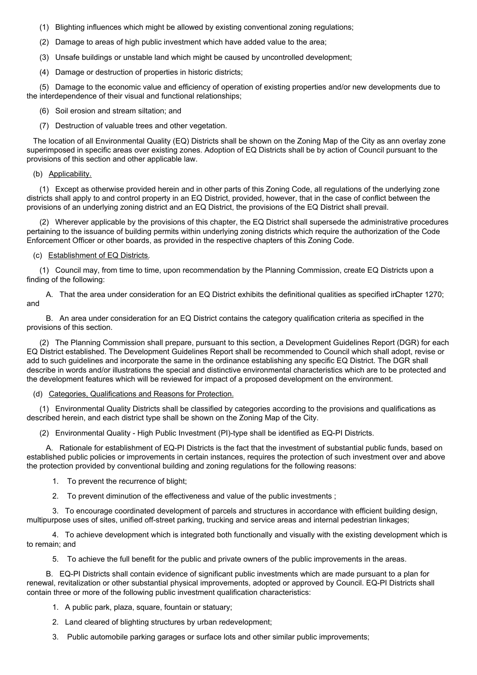- (1) Blighting influences which might be allowed by existing conventional zoning regulations;
- (2) Damage to areas of high public investment which have added value to the area;
- (3) Unsafe buildings or unstable land which might be caused by uncontrolled development;
- (4) Damage or destruction of properties in historic districts;

(5) Damage to the economic value and efficiency of operation of existing properties and/or new developments due to the interdependence of their visual and functional relationships;

- (6) Soil erosion and stream siltation; and
- (7) Destruction of valuable trees and other vegetation.

The location of all Environmental Quality (EQ) Districts shall be shown on the Zoning Map of the City as ann overlay zone superimposed in specific areas over existing zones. Adoption of EQ Districts shall be by action of Council pursuant to the provisions of this section and other applicable law.

(b) Applicability.

(1) Except as otherwise provided herein and in other parts of this Zoning Code, all regulations of the underlying zone districts shall apply to and control property in an EQ District, provided, however, that in the case of conflict between the provisions of an underlying zoning district and an EQ District, the provisions of the EQ District shall prevail.

(2) Wherever applicable by the provisions of this chapter, the EQ District shall supersede the administrative procedures pertaining to the issuance of building permits within underlying zoning districts which require the authorization of the Code Enforcement Officer or other boards, as provided in the respective chapters of this Zoning Code.

#### (c) Establishment of EQ Districts.

(1) Council may, from time to time, upon recommendation by the Planning Commission, create EQ Districts upon a finding of the following:

A. That the area under consideration for an EQ District exhibits the definitional qualities as specified inChapter 1270; and

B. An area under consideration for an EQ District contains the category qualification criteria as specified in the provisions of this section.

(2) The Planning Commission shall prepare, pursuant to this section, a Development Guidelines Report (DGR) for each EQ District established. The Development Guidelines Report shall be recommended to Council which shall adopt, revise or add to such guidelines and incorporate the same in the ordinance establishing any specific EQ District. The DGR shall describe in words and/or illustrations the special and distinctive environmental characteristics which are to be protected and the development features which will be reviewed for impact of a proposed development on the environment.

(d) Categories, Qualifications and Reasons for Protection.

(1) Environmental Quality Districts shall be classified by categories according to the provisions and qualifications as described herein, and each district type shall be shown on the Zoning Map of the City.

(2) Environmental Quality - High Public Investment (PI)-type shall be identified as EQ-PI Districts.

A. Rationale for establishment of EQ-PI Districts is the fact that the investment of substantial public funds, based on established public policies or improvements in certain instances, requires the protection of such investment over and above the protection provided by conventional building and zoning regulations for the following reasons:

1. To prevent the recurrence of blight;

2. To prevent diminution of the effectiveness and value of the public investments ;

3. To encourage coordinated development of parcels and structures in accordance with efficient building design, multipurpose uses of sites, unified off-street parking, trucking and service areas and internal pedestrian linkages;

4. To achieve development which is integrated both functionally and visually with the existing development which is to remain; and

5. To achieve the full benefit for the public and private owners of the public improvements in the areas.

B. EQ-PI Districts shall contain evidence of significant public investments which are made pursuant to a plan for renewal, revitalization or other substantial physical improvements, adopted or approved by Council. EQ-PI Districts shall contain three or more of the following public investment qualification characteristics:

- 1. A public park, plaza, square, fountain or statuary;
- 2. Land cleared of blighting structures by urban redevelopment;
- 3. Public automobile parking garages or surface lots and other similar public improvements;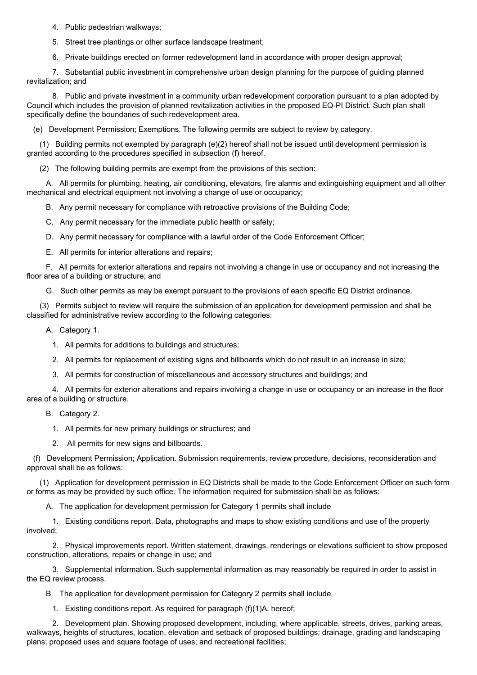4. Public pedestrian walkways;

5. Street tree plantings or other surface landscape treatment;

6. Private buildings erected on former redevelopment land in accordance with proper design approval;

7. Substantial public investment in comprehensive urban design planning for the purpose of guiding planned revitalization; and

8. Public and private investment in a community urban redevelopment corporation pursuant to a plan adopted by Council which includes the provision of planned revitalization activities in the proposed EQ-PI District. Such plan shall specifically define the boundaries of such redevelopment area.

(e) Development Permission; Exemptions. The following permits are subject to review by category.

(1) Building permits not exempted by paragraph (e)(2) hereof shall not be issued until development permission is granted according to the procedures specified in subsection (f) hereof.

(2) The following building permits are exempt from the provisions of this section:

A. All permits for plumbing, heating, air conditioning, elevators, fire alarms and extinguishing equipment and all other mechanical and electrical equipment not involving a change of use or occupancy;

B. Any permit necessary for compliance with retroactive provisions of the Building Code;

C. Any permit necessary for the immediate public health or safety;

D. Any permit necessary for compliance with a lawful order of the Code Enforcement Officer;

E. All permits for interior alterations and repairs;

F. All permits for exterior alterations and repairs not involving a change in use or occupancy and not increasing the floor area of a building or structure; and

G. Such other permits as may be exempt pursuant to the provisions of each specific EQ District ordinance.

(3) Permits subject to review will require the submission of an application for development permission and shall be classified for administrative review according to the following categories:

A. Category 1.

1. All permits for additions to buildings and structures;

2. All permits for replacement of existing signs and billboards which do not result in an increase in size;

3. All permits for construction of miscellaneous and accessory structures and buildings; and

4. All permits for exterior alterations and repairs involving a change in use or occupancy or an increase in the floor area of a building or structure.

- B. Category 2.
	- 1. All permits for new primary buildings or structures; and
	- 2. All permits for new signs and billboards.

(f) Development Permission; Application. Submission requirements, review procedure, decisions, reconsideration and approval shall be as follows:

(1) Application for development permission in EQ Districts shall be made to the Code Enforcement Officer on such form or forms as may be provided by such office. The information required for submission shall be as follows:

A. The application for development permission for Category 1 permits shall include

1. Existing conditions report. Data, photographs and maps to show existing conditions and use of the property involved;

2. Physical improvements report. Written statement, drawings, renderings or elevations sufficient to show proposed construction, alterations, repairs or change in use; and

3. Supplemental information. Such supplemental information as may reasonably be required in order to assist in the EQ review process.

B. The application for development permission for Category 2 permits shall include

1. Existing conditions report. As required for paragraph (f)(1)A. hereof;

2. Development plan. Showing proposed development, including, where applicable, streets, drives, parking areas, walkways, heights of structures, location, elevation and setback of proposed buildings; drainage, grading and landscaping plans; proposed uses and square footage of uses; and recreational facilities;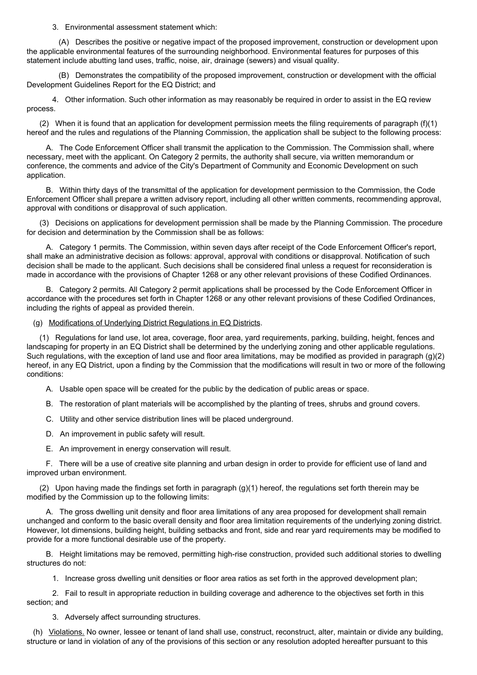3. Environmental assessment statement which:

(A) Describes the positive or negative impact of the proposed improvement, construction or development upon the applicable environmental features of the surrounding neighborhood. Environmental features for purposes of this statement include abutting land uses, traffic, noise, air, drainage (sewers) and visual quality.

(B) Demonstrates the compatibility of the proposed improvement, construction or development with the official Development Guidelines Report for the EQ District; and

4. Other information. Such other information as may reasonably be required in order to assist in the EQ review process.

(2) When it is found that an application for development permission meets the filing requirements of paragraph  $(f)(1)$ hereof and the rules and regulations of the Planning Commission, the application shall be subject to the following process:

A. The Code Enforcement Officer shall transmit the application to the Commission. The Commission shall, where necessary, meet with the applicant. On Category 2 permits, the authority shall secure, via written memorandum or conference, the comments and advice of the City's Department of Community and Economic Development on such application.

B. Within thirty days of the transmittal of the application for development permission to the Commission, the Code Enforcement Officer shall prepare a written advisory report, including all other written comments, recommending approval, approval with conditions or disapproval of such application.

(3) Decisions on applications for development permission shall be made by the Planning Commission. The procedure for decision and determination by the Commission shall be as follows:

A. Category 1 permits. The Commission, within seven days after receipt of the Code Enforcement Officer's report, shall make an administrative decision as follows: approval, approval with conditions or disapproval. Notification of such decision shall be made to the applicant. Such decisions shall be considered final unless a request for reconsideration is made in accordance with the provisions of Chapter 1268 or any other relevant provisions of these Codified Ordinances.

B. Category 2 permits. All Category 2 permit applications shall be processed by the Code Enforcement Officer in accordance with the procedures set forth in Chapter 1268 or any other relevant provisions of these Codified Ordinances, including the rights of appeal as provided therein.

(g) Modifications of Underlying District Regulations in EQ Districts.

(1) Regulations for land use, lot area, coverage, floor area, yard requirements, parking, building, height, fences and landscaping for property in an EQ District shall be determined by the underlying zoning and other applicable regulations. Such regulations, with the exception of land use and floor area limitations, may be modified as provided in paragraph (g)(2) hereof, in any EQ District, upon a finding by the Commission that the modifications will result in two or more of the following conditions:

A. Usable open space will be created for the public by the dedication of public areas or space.

B. The restoration of plant materials will be accomplished by the planting of trees, shrubs and ground covers.

C. Utility and other service distribution lines will be placed underground.

D. An improvement in public safety will result.

E. An improvement in energy conservation will result.

F. There will be a use of creative site planning and urban design in order to provide for efficient use of land and improved urban environment.

(2) Upon having made the findings set forth in paragraph  $(q)(1)$  hereof, the regulations set forth therein may be modified by the Commission up to the following limits:

A. The gross dwelling unit density and floor area limitations of any area proposed for development shall remain unchanged and conform to the basic overall density and floor area limitation requirements of the underlying zoning district. However, lot dimensions, building height, building setbacks and front, side and rear yard requirements may be modified to provide for a more functional desirable use of the property.

B. Height limitations may be removed, permitting high-rise construction, provided such additional stories to dwelling structures do not:

1. Increase gross dwelling unit densities or floor area ratios as set forth in the approved development plan;

2. Fail to result in appropriate reduction in building coverage and adherence to the objectives set forth in this section; and

3. Adversely affect surrounding structures.

(h) Violations. No owner, lessee or tenant of land shall use, construct, reconstruct, alter, maintain or divide any building, structure or land in violation of any of the provisions of this section or any resolution adopted hereafter pursuant to this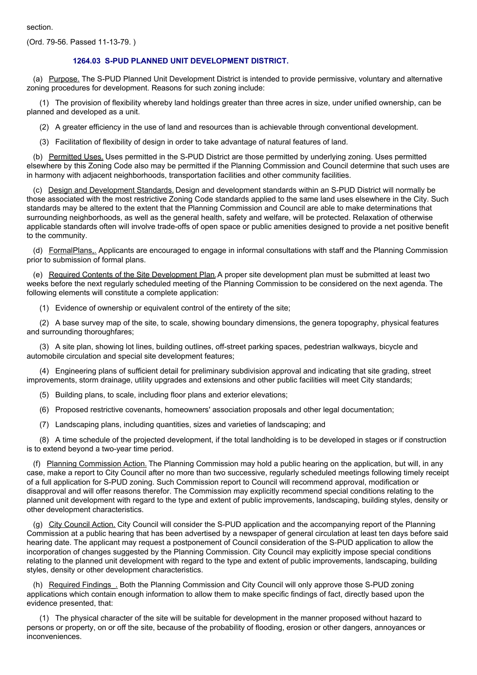section.

(Ord. 79-56. Passed 11-13-79. )

#### **1264.03 S-PUD PLANNED UNIT DEVELOPMENT DISTRICT.**

(a) Purpose. The S-PUD Planned Unit Development District is intended to provide permissive, voluntary and alternative zoning procedures for development. Reasons for such zoning include:

(1) The provision of flexibility whereby land holdings greater than three acres in size, under unified ownership, can be planned and developed as a unit.

(2) A greater efficiency in the use of land and resources than is achievable through conventional development.

(3) Facilitation of flexibility of design in order to take advantage of natural features of land.

(b) Permitted Uses. Uses permitted in the S-PUD District are those permitted by underlying zoning. Uses permitted elsewhere by this Zoning Code also may be permitted if the Planning Commission and Council determine that such uses are in harmony with adjacent neighborhoods, transportation facilities and other community facilities.

(c) Design and Development Standards. Design and development standards within an S-PUD District will normally be those associated with the most restrictive Zoning Code standards applied to the same land uses elsewhere in the City. Such standards may be altered to the extent that the Planning Commission and Council are able to make determinations that surrounding neighborhoods, as well as the general health, safety and welfare, will be protected. Relaxation of otherwise applicable standards often will involve trade-offs of open space or public amenities designed to provide a net positive benefit to the community.

(d) FormalPlans.. Applicants are encouraged to engage in informal consultations with staff and the Planning Commission prior to submission of formal plans.

(e) Required Contents of the Site Development Plan.A proper site development plan must be submitted at least two weeks before the next regularly scheduled meeting of the Planning Commission to be considered on the next agenda. The following elements will constitute a complete application:

(1) Evidence of ownership or equivalent control of the entirety of the site;

(2) A base survey map of the site, to scale, showing boundary dimensions, the genera topography, physical features and surrounding thoroughfares;

(3) A site plan, showing lot lines, building outlines, off-street parking spaces, pedestrian walkways, bicycle and automobile circulation and special site development features;

(4) Engineering plans of sufficient detail for preliminary subdivision approval and indicating that site grading, street improvements, storm drainage, utility upgrades and extensions and other public facilities will meet City standards;

- (5) Building plans, to scale, including floor plans and exterior elevations;
- (6) Proposed restrictive covenants, homeowners' association proposals and other legal documentation;
- (7) Landscaping plans, including quantities, sizes and varieties of landscaping; and

(8) A time schedule of the projected development, if the total landholding is to be developed in stages or if construction is to extend beyond a two-year time period.

(f) Planning Commission Action. The Planning Commission may hold a public hearing on the application, but will, in any case, make a report to City Council after no more than two successive, regularly scheduled meetings following timely receipt of a full application for S-PUD zoning. Such Commission report to Council will recommend approval, modification or disapproval and will offer reasons therefor. The Commission may explicitly recommend special conditions relating to the planned unit development with regard to the type and extent of public improvements, landscaping, building styles, density or other development characteristics.

(g) City Council Action. City Council will consider the S-PUD application and the accompanying report of the Planning Commission at a public hearing that has been advertised by a newspaper of general circulation at least ten days before said hearing date. The applicant may request a postponement of Council consideration of the S-PUD application to allow the incorporation of changes suggested by the Planning Commission. City Council may explicitly impose special conditions relating to the planned unit development with regard to the type and extent of public improvements, landscaping, building styles, density or other development characteristics.

(h) Required Findings\_. Both the Planning Commission and City Council will only approve those S-PUD zoning applications which contain enough information to allow them to make specific findings of fact, directly based upon the evidence presented, that:

(1) The physical character of the site will be suitable for development in the manner proposed without hazard to persons or property, on or off the site, because of the probability of flooding, erosion or other dangers, annoyances or inconveniences.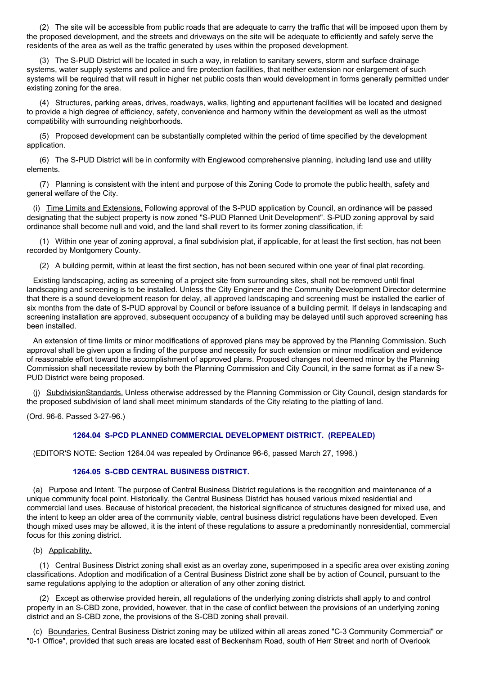(2) The site will be accessible from public roads that are adequate to carry the traffic that will be imposed upon them by the proposed development, and the streets and driveways on the site will be adequate to efficiently and safely serve the residents of the area as well as the traffic generated by uses within the proposed development.

(3) The S-PUD District will be located in such a way, in relation to sanitary sewers, storm and surface drainage systems, water supply systems and police and fire protection facilities, that neither extension nor enlargement of such systems will be required that will result in higher net public costs than would development in forms generally permitted under existing zoning for the area.

(4) Structures, parking areas, drives, roadways, walks, lighting and appurtenant facilities will be located and designed to provide a high degree of efficiency, safety, convenience and harmony within the development as well as the utmost compatibility with surrounding neighborhoods.

(5) Proposed development can be substantially completed within the period of time specified by the development application.

(6) The S-PUD District will be in conformity with Englewood comprehensive planning, including land use and utility elements.

(7) Planning is consistent with the intent and purpose of this Zoning Code to promote the public health, safety and general welfare of the City.

(i) Time Limits and Extensions. Following approval of the S-PUD application by Council, an ordinance will be passed designating that the subject property is now zoned "S-PUD Planned Unit Development". S-PUD zoning approval by said ordinance shall become null and void, and the land shall revert to its former zoning classification, if:

(1) Within one year of zoning approval, a final subdivision plat, if applicable, for at least the first section, has not been recorded by Montgomery County.

(2) A building permit, within at least the first section, has not been secured within one year of final plat recording.

Existing landscaping, acting as screening of a project site from surrounding sites, shall not be removed until final landscaping and screening is to be installed. Unless the City Engineer and the Community Development Director determine that there is a sound development reason for delay, all approved landscaping and screening must be installed the earlier of six months from the date of S-PUD approval by Council or before issuance of a building permit. If delays in landscaping and screening installation are approved, subsequent occupancy of a building may be delayed until such approved screening has been installed.

An extension of time limits or minor modifications of approved plans may be approved by the Planning Commission. Such approval shall be given upon a finding of the purpose and necessity for such extension or minor modification and evidence of reasonable effort toward the accomplishment of approved plans. Proposed changes not deemed minor by the Planning Commission shall necessitate review by both the Planning Commission and City Council, in the same format as if a new S-PUD District were being proposed.

(j) SubdivisionStandards. Unless otherwise addressed by the Planning Commission or City Council, design standards for the proposed subdivision of land shall meet minimum standards of the City relating to the platting of land.

(Ord. 96-6. Passed 3-27-96.)

## **1264.04 S-PCD PLANNED COMMERCIAL DEVELOPMENT DISTRICT. (REPEALED)**

(EDITOR'S NOTE: Section 1264.04 was repealed by Ordinance 96-6, passed March 27, 1996.)

## **1264.05 S-CBD CENTRAL BUSINESS DISTRICT.**

(a) Purpose and Intent. The purpose of Central Business District regulations is the recognition and maintenance of a unique community focal point. Historically, the Central Business District has housed various mixed residential and commercial land uses. Because of historical precedent, the historical significance of structures designed for mixed use, and the intent to keep an older area of the community viable, central business district regulations have been developed. Even though mixed uses may be allowed, it is the intent of these regulations to assure a predominantly nonresidential, commercial focus for this zoning district.

(b) Applicability.

(1) Central Business District zoning shall exist as an overlay zone, superimposed in a specific area over existing zoning classifications. Adoption and modification of a Central Business District zone shall be by action of Council, pursuant to the same regulations applying to the adoption or alteration of any other zoning district.

(2) Except as otherwise provided herein, all regulations of the underlying zoning districts shall apply to and control property in an S-CBD zone, provided, however, that in the case of conflict between the provisions of an underlying zoning district and an S-CBD zone, the provisions of the S-CBD zoning shall prevail.

(c) Boundaries. Central Business District zoning may be utilized within all areas zoned "C-3 Community Commercial" or "0-1 Office", provided that such areas are located east of Beckenham Road, south of Herr Street and north of Overlook